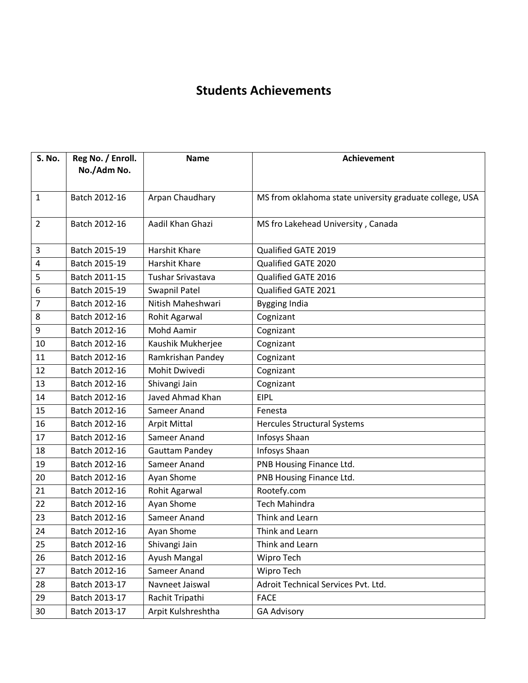## **Students Achievements**

| S. No.         | Reg No. / Enroll. | <b>Name</b>           | <b>Achievement</b>                                      |
|----------------|-------------------|-----------------------|---------------------------------------------------------|
|                | No./Adm No.       |                       |                                                         |
|                |                   |                       |                                                         |
| 1              | Batch 2012-16     | Arpan Chaudhary       | MS from oklahoma state university graduate college, USA |
|                |                   |                       |                                                         |
| $\overline{2}$ | Batch 2012-16     | Aadil Khan Ghazi      | MS fro Lakehead University, Canada                      |
|                |                   |                       |                                                         |
| 3              | Batch 2015-19     | <b>Harshit Khare</b>  | Qualified GATE 2019                                     |
| 4              | Batch 2015-19     | Harshit Khare         | Qualified GATE 2020                                     |
| 5              | Batch 2011-15     | Tushar Srivastava     | Qualified GATE 2016                                     |
| 6              | Batch 2015-19     | <b>Swapnil Patel</b>  | Qualified GATE 2021                                     |
| 7              | Batch 2012-16     | Nitish Maheshwari     | <b>Bygging India</b>                                    |
| 8              | Batch 2012-16     | Rohit Agarwal         | Cognizant                                               |
| 9              | Batch 2012-16     | <b>Mohd Aamir</b>     | Cognizant                                               |
| 10             | Batch 2012-16     | Kaushik Mukherjee     | Cognizant                                               |
| 11             | Batch 2012-16     | Ramkrishan Pandey     | Cognizant                                               |
| 12             | Batch 2012-16     | Mohit Dwivedi         | Cognizant                                               |
| 13             | Batch 2012-16     | Shivangi Jain         | Cognizant                                               |
| 14             | Batch 2012-16     | Javed Ahmad Khan      | <b>EIPL</b>                                             |
| 15             | Batch 2012-16     | Sameer Anand          | Fenesta                                                 |
| 16             | Batch 2012-16     | <b>Arpit Mittal</b>   | <b>Hercules Structural Systems</b>                      |
| 17             | Batch 2012-16     | Sameer Anand          | Infosys Shaan                                           |
| 18             | Batch 2012-16     | <b>Gauttam Pandey</b> | Infosys Shaan                                           |
| 19             | Batch 2012-16     | Sameer Anand          | PNB Housing Finance Ltd.                                |
| 20             | Batch 2012-16     | Ayan Shome            | PNB Housing Finance Ltd.                                |
| 21             | Batch 2012-16     | Rohit Agarwal         | Rootefy.com                                             |
| 22             | Batch 2012-16     | Ayan Shome            | <b>Tech Mahindra</b>                                    |
| 23             | Batch 2012-16     | Sameer Anand          | Think and Learn                                         |
| 24             | Batch 2012-16     | Ayan Shome            | Think and Learn                                         |
| 25             | Batch 2012-16     | Shivangi Jain         | Think and Learn                                         |
| 26             | Batch 2012-16     | Ayush Mangal          | Wipro Tech                                              |
| 27             | Batch 2012-16     | Sameer Anand          | Wipro Tech                                              |
| 28             | Batch 2013-17     | Navneet Jaiswal       | Adroit Technical Services Pvt. Ltd.                     |
| 29             | Batch 2013-17     | Rachit Tripathi       | <b>FACE</b>                                             |
| 30             | Batch 2013-17     | Arpit Kulshreshtha    | <b>GA Advisory</b>                                      |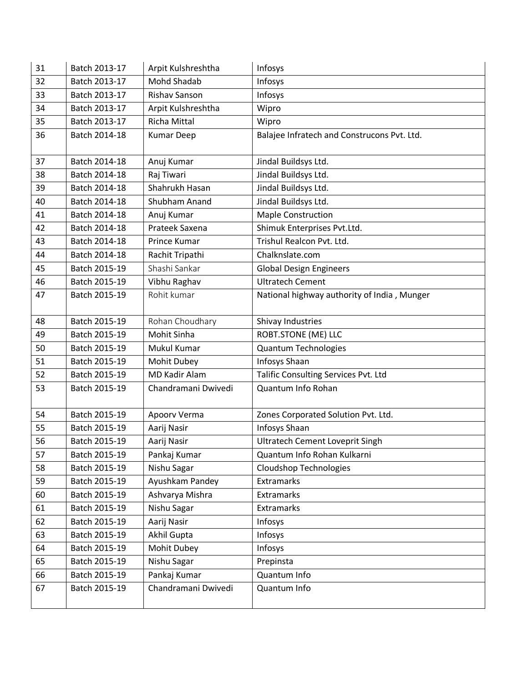| 31 | Batch 2013-17 | Arpit Kulshreshtha   | Infosys                                     |
|----|---------------|----------------------|---------------------------------------------|
| 32 | Batch 2013-17 | Mohd Shadab          | Infosys                                     |
| 33 | Batch 2013-17 | <b>Rishav Sanson</b> | Infosys                                     |
| 34 | Batch 2013-17 | Arpit Kulshreshtha   | Wipro                                       |
| 35 | Batch 2013-17 | <b>Richa Mittal</b>  | Wipro                                       |
| 36 | Batch 2014-18 | <b>Kumar Deep</b>    | Balajee Infratech and Construcons Pvt. Ltd. |
|    |               |                      |                                             |
| 37 | Batch 2014-18 | Anuj Kumar           | Jindal Buildsys Ltd.                        |
| 38 | Batch 2014-18 | Raj Tiwari           | Jindal Buildsys Ltd.                        |
| 39 | Batch 2014-18 | Shahrukh Hasan       | Jindal Buildsys Ltd.                        |
| 40 | Batch 2014-18 | Shubham Anand        | Jindal Buildsys Ltd.                        |
| 41 | Batch 2014-18 | Anuj Kumar           | <b>Maple Construction</b>                   |
| 42 | Batch 2014-18 | Prateek Saxena       | Shimuk Enterprises Pvt.Ltd.                 |
| 43 | Batch 2014-18 | Prince Kumar         | Trishul Realcon Pvt. Ltd.                   |
| 44 | Batch 2014-18 | Rachit Tripathi      | Chalknslate.com                             |
| 45 | Batch 2015-19 | Shashi Sankar        | <b>Global Design Engineers</b>              |
| 46 | Batch 2015-19 | Vibhu Raghav         | <b>Ultratech Cement</b>                     |
| 47 | Batch 2015-19 | Rohit kumar          | National highway authority of India, Munger |
|    |               |                      |                                             |
| 48 | Batch 2015-19 | Rohan Choudhary      | Shivay Industries                           |
| 49 | Batch 2015-19 | <b>Mohit Sinha</b>   | <b>ROBT.STONE (ME) LLC</b>                  |
| 50 | Batch 2015-19 | Mukul Kumar          | <b>Quantum Technologies</b>                 |
| 51 | Batch 2015-19 | Mohit Dubey          | Infosys Shaan                               |
| 52 | Batch 2015-19 | <b>MD Kadir Alam</b> | Talific Consulting Services Pvt. Ltd        |
| 53 | Batch 2015-19 | Chandramani Dwivedi  | Quantum Info Rohan                          |
|    |               |                      |                                             |
| 54 | Batch 2015-19 | Apoorv Verma         | Zones Corporated Solution Pvt. Ltd.         |
| 55 | Batch 2015-19 | Aarij Nasir          | Infosys Shaan                               |
| 56 | Batch 2015-19 | Aarij Nasir          | <b>Ultratech Cement Loveprit Singh</b>      |
| 57 | Batch 2015-19 | Pankaj Kumar         | Quantum Info Rohan Kulkarni                 |
| 58 | Batch 2015-19 | Nishu Sagar          | <b>Cloudshop Technologies</b>               |
| 59 | Batch 2015-19 | Ayushkam Pandey      | Extramarks                                  |
| 60 | Batch 2015-19 | Ashvarya Mishra      | <b>Extramarks</b>                           |
| 61 | Batch 2015-19 | Nishu Sagar          | Extramarks                                  |
| 62 | Batch 2015-19 | Aarij Nasir          | Infosys                                     |
| 63 | Batch 2015-19 | Akhil Gupta          | Infosys                                     |
| 64 | Batch 2015-19 | Mohit Dubey          | Infosys                                     |
| 65 | Batch 2015-19 | Nishu Sagar          | Prepinsta                                   |
| 66 | Batch 2015-19 | Pankaj Kumar         | Quantum Info                                |
| 67 | Batch 2015-19 | Chandramani Dwivedi  | Quantum Info                                |
|    |               |                      |                                             |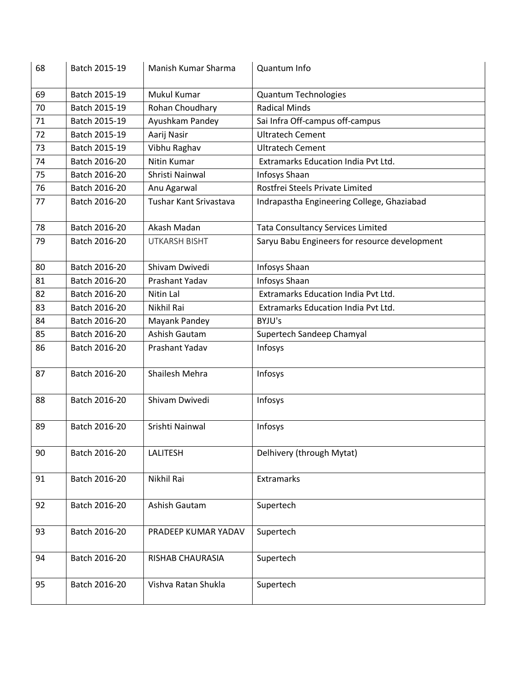| 68 | Batch 2015-19 | Manish Kumar Sharma    | Quantum Info                                  |
|----|---------------|------------------------|-----------------------------------------------|
| 69 | Batch 2015-19 | Mukul Kumar            | <b>Quantum Technologies</b>                   |
| 70 | Batch 2015-19 | Rohan Choudhary        | <b>Radical Minds</b>                          |
| 71 | Batch 2015-19 | Ayushkam Pandey        | Sai Infra Off-campus off-campus               |
| 72 | Batch 2015-19 | Aarij Nasir            | <b>Ultratech Cement</b>                       |
| 73 | Batch 2015-19 | Vibhu Raghav           | <b>Ultratech Cement</b>                       |
| 74 | Batch 2016-20 | Nitin Kumar            | Extramarks Education India Pvt Ltd.           |
| 75 | Batch 2016-20 | Shristi Nainwal        | Infosys Shaan                                 |
| 76 | Batch 2016-20 | Anu Agarwal            | Rostfrei Steels Private Limited               |
| 77 | Batch 2016-20 | Tushar Kant Srivastava | Indrapastha Engineering College, Ghaziabad    |
| 78 | Batch 2016-20 | Akash Madan            | <b>Tata Consultancy Services Limited</b>      |
| 79 | Batch 2016-20 | <b>UTKARSH BISHT</b>   | Saryu Babu Engineers for resource development |
| 80 | Batch 2016-20 | Shivam Dwivedi         | Infosys Shaan                                 |
| 81 | Batch 2016-20 | Prashant Yadav         | Infosys Shaan                                 |
| 82 | Batch 2016-20 | Nitin Lal              | <b>Extramarks Education India Pyt Ltd.</b>    |
| 83 | Batch 2016-20 | Nikhil Rai             | Extramarks Education India Pvt Ltd.           |
| 84 | Batch 2016-20 | Mayank Pandey          | BYJU's                                        |
| 85 | Batch 2016-20 | Ashish Gautam          | Supertech Sandeep Chamyal                     |
| 86 | Batch 2016-20 | Prashant Yadav         | Infosys                                       |
| 87 | Batch 2016-20 | Shailesh Mehra         | Infosys                                       |
| 88 | Batch 2016-20 | Shivam Dwivedi         | Infosys                                       |
| 89 | Batch 2016-20 | Srishti Nainwal        | Infosys                                       |
| 90 | Batch 2016-20 | LALITESH               | Delhivery (through Mytat)                     |
| 91 | Batch 2016-20 | Nikhil Rai             | Extramarks                                    |
| 92 | Batch 2016-20 | Ashish Gautam          | Supertech                                     |
| 93 | Batch 2016-20 | PRADEEP KUMAR YADAV    | Supertech                                     |
| 94 | Batch 2016-20 | RISHAB CHAURASIA       | Supertech                                     |
| 95 | Batch 2016-20 | Vishva Ratan Shukla    | Supertech                                     |